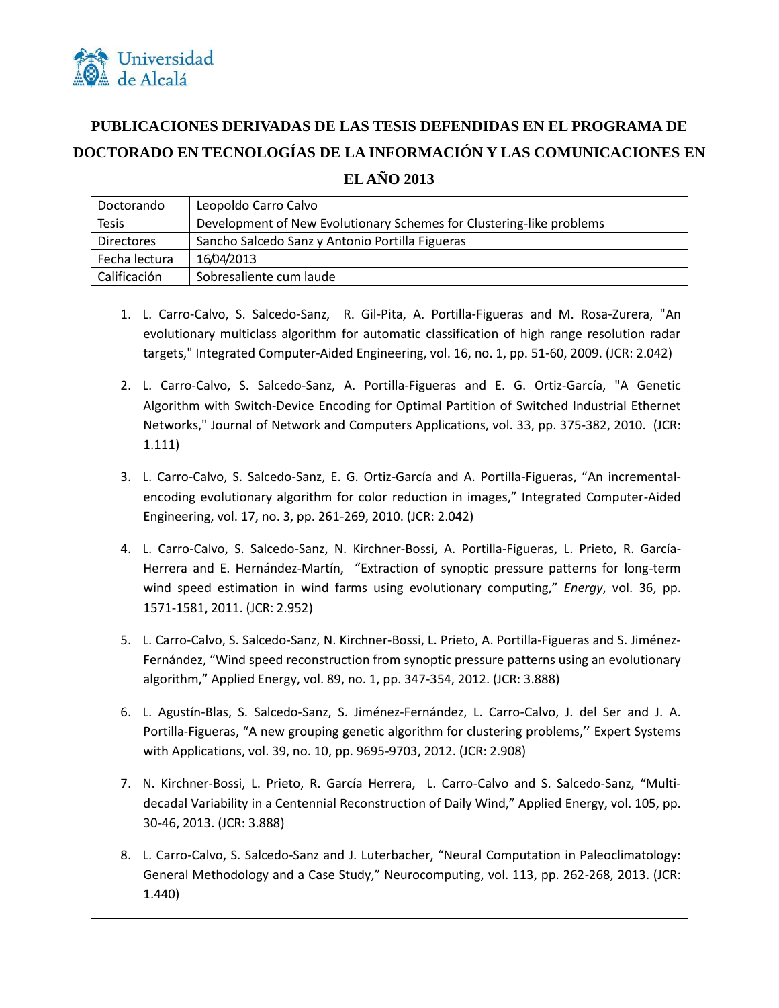

## **PUBLICACIONES DERIVADAS DE LAS TESIS DEFENDIDAS EN EL PROGRAMA DE DOCTORADO EN TECNOLOGÍAS DE LA INFORMACIÓN Y LAS COMUNICACIONES EN**

**EL AÑO 2013**

| Doctorando        |        | Leopoldo Carro Calvo                                                                                                                                                                                                                                                                                                       |
|-------------------|--------|----------------------------------------------------------------------------------------------------------------------------------------------------------------------------------------------------------------------------------------------------------------------------------------------------------------------------|
| <b>Tesis</b>      |        | Development of New Evolutionary Schemes for Clustering-like problems                                                                                                                                                                                                                                                       |
| <b>Directores</b> |        | Sancho Salcedo Sanz y Antonio Portilla Figueras                                                                                                                                                                                                                                                                            |
| Fecha lectura     |        | 16/04/2013                                                                                                                                                                                                                                                                                                                 |
| Calificación      |        | Sobresaliente cum laude                                                                                                                                                                                                                                                                                                    |
|                   |        | 1. L. Carro-Calvo, S. Salcedo-Sanz, R. Gil-Pita, A. Portilla-Figueras and M. Rosa-Zurera, "An<br>evolutionary multiclass algorithm for automatic classification of high range resolution radar<br>targets," Integrated Computer-Aided Engineering, vol. 16, no. 1, pp. 51-60, 2009. (JCR: 2.042)                           |
|                   | 1.111) | 2. L. Carro-Calvo, S. Salcedo-Sanz, A. Portilla-Figueras and E. G. Ortiz-García, "A Genetic<br>Algorithm with Switch-Device Encoding for Optimal Partition of Switched Industrial Ethernet<br>Networks," Journal of Network and Computers Applications, vol. 33, pp. 375-382, 2010. (JCR:                                  |
|                   |        | 3. L. Carro-Calvo, S. Salcedo-Sanz, E. G. Ortiz-García and A. Portilla-Figueras, "An incremental-<br>encoding evolutionary algorithm for color reduction in images," Integrated Computer-Aided<br>Engineering, vol. 17, no. 3, pp. 261-269, 2010. (JCR: 2.042)                                                             |
|                   |        | 4. L. Carro-Calvo, S. Salcedo-Sanz, N. Kirchner-Bossi, A. Portilla-Figueras, L. Prieto, R. García-<br>Herrera and E. Hernández-Martín, "Extraction of synoptic pressure patterns for long-term<br>wind speed estimation in wind farms using evolutionary computing," Energy, vol. 36, pp.<br>1571-1581, 2011. (JCR: 2.952) |
|                   |        | 5. L. Carro-Calvo, S. Salcedo-Sanz, N. Kirchner-Bossi, L. Prieto, A. Portilla-Figueras and S. Jiménez-<br>Fernández, "Wind speed reconstruction from synoptic pressure patterns using an evolutionary<br>algorithm," Applied Energy, vol. 89, no. 1, pp. 347-354, 2012. (JCR: 3.888)                                       |
| 6.                |        | L. Agustín-Blas, S. Salcedo-Sanz, S. Jiménez-Fernández, L. Carro-Calvo, J. del Ser and J. A.<br>Portilla-Figueras, "A new grouping genetic algorithm for clustering problems," Expert Systems<br>with Applications, vol. 39, no. 10, pp. 9695-9703, 2012. (JCR: 2.908)                                                     |
| 7.                |        | N. Kirchner-Bossi, L. Prieto, R. García Herrera, L. Carro-Calvo and S. Salcedo-Sanz, "Multi-<br>decadal Variability in a Centennial Reconstruction of Daily Wind," Applied Energy, vol. 105, pp.<br>30-46, 2013. (JCR: 3.888)                                                                                              |
| 8.                | 1.440) | L. Carro-Calvo, S. Salcedo-Sanz and J. Luterbacher, "Neural Computation in Paleoclimatology:<br>General Methodology and a Case Study," Neurocomputing, vol. 113, pp. 262-268, 2013. (JCR:                                                                                                                                  |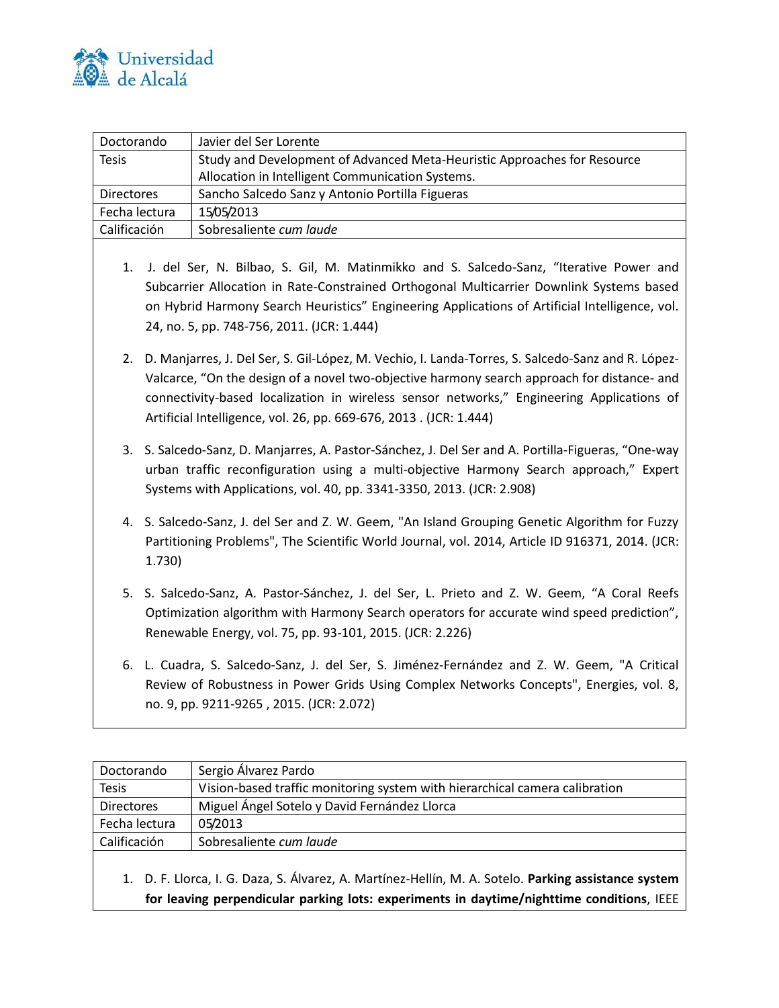

| Doctorando        | Javier del Ser Lorente                                                   |
|-------------------|--------------------------------------------------------------------------|
| <b>Tesis</b>      | Study and Development of Advanced Meta-Heuristic Approaches for Resource |
|                   | Allocation in Intelligent Communication Systems.                         |
| <b>Directores</b> | Sancho Salcedo Sanz y Antonio Portilla Figueras                          |
| Fecha lectura     | 15/05/2013                                                               |
| Calificación      | Sobresaliente cum laude                                                  |

- 1. J. del Ser, N. Bilbao, S. Gil, M. Matinmikko and S. Salcedo-Sanz, "Iterative Power and Subcarrier Allocation in Rate-Constrained Orthogonal Multicarrier Downlink Systems based on Hybrid Harmony Search Heuristics" Engineering Applications of Artificial Intelligence, vol. 24, no. 5, pp. 748-756, 2011. (JCR: 1.444)
- 2. D. Manjarres, J. Del Ser, S. Gil-López, M. Vechio, I. Landa-Torres, S. Salcedo-Sanz and R. López-Valcarce, "On the design of a novel two-objective harmony search approach for distance- and connectivity-based localization in wireless sensor networks," Engineering Applications of Artificial Intelligence, vol. 26, pp. 669-676, 2013 . (JCR: 1.444)
- 3. S. Salcedo-Sanz, D. Manjarres, A. Pastor-Sánchez, J. Del Ser and A. Portilla-Figueras, "One-way urban traffic reconfiguration using a multi-objective Harmony Search approach," Expert Systems with Applications, vol. 40, pp. 3341-3350, 2013. (JCR: 2.908)
- 4. S. Salcedo-Sanz, J. del Ser and Z. W. Geem, "An Island Grouping Genetic Algorithm for Fuzzy Partitioning Problems", The Scientific World Journal, vol. 2014, Article ID 916371, 2014. (JCR: 1.730)
- 5. S. Salcedo-Sanz, A. Pastor-Sánchez, J. del Ser, L. Prieto and Z. W. Geem, "A Coral Reefs Optimization algorithm with Harmony Search operators for accurate wind speed prediction", Renewable Energy, vol. 75, pp. 93-101, 2015. (JCR: 2.226)
- 6. L. Cuadra, S. Salcedo-Sanz, J. del Ser, S. Jiménez-Fernández and Z. W. Geem, "A Critical Review of Robustness in Power Grids Using Complex Networks Concepts", Energies, vol. 8, no. 9, pp. 9211-9265 , 2015. (JCR: 2.072)

| Doctorando        | Sergio Álvarez Pardo                                                        |
|-------------------|-----------------------------------------------------------------------------|
| <b>Tesis</b>      | Vision-based traffic monitoring system with hierarchical camera calibration |
| <b>Directores</b> | Miguel Ángel Sotelo y David Fernández Llorca                                |
| Fecha lectura     | 05/2013                                                                     |
| Calificación      | Sobresaliente cum laude                                                     |
|                   |                                                                             |

1. D. F. Llorca, I. G. Daza, S. Álvarez, A. Martínez-Hellín, M. A. Sotelo. **Parking assistance system for leaving perpendicular parking lots: experiments in daytime/nighttime conditions**, IEEE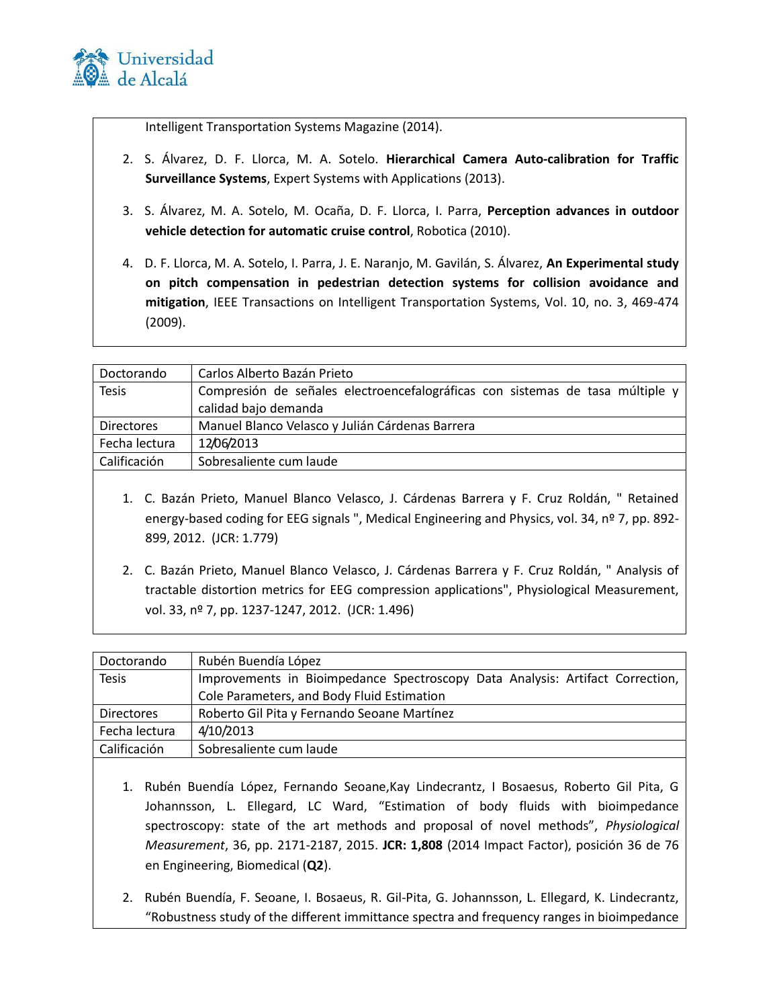

Intelligent Transportation Systems Magazine (2014).

- 2. S. Álvarez, D. F. Llorca, M. A. Sotelo. **Hierarchical Camera Auto-calibration for Traffic Surveillance Systems**, Expert Systems with Applications (2013).
- 3. S. Álvarez, M. A. Sotelo, M. Ocaña, D. F. Llorca, I. Parra, **Perception advances in outdoor vehicle detection for automatic cruise control**, Robotica (2010).
- 4. D. F. Llorca, M. A. Sotelo, I. Parra, J. E. Naranjo, M. Gavilán, S. Álvarez, **An Experimental study on pitch compensation in pedestrian detection systems for collision avoidance and mitigation**, IEEE Transactions on Intelligent Transportation Systems, Vol. 10, no. 3, 469-474 (2009).

| Doctorando        | Carlos Alberto Bazán Prieto                                                   |
|-------------------|-------------------------------------------------------------------------------|
| <b>Tesis</b>      | Compresión de señales electroencefalográficas con sistemas de tasa múltiple y |
|                   | calidad bajo demanda                                                          |
| <b>Directores</b> | Manuel Blanco Velasco y Julián Cárdenas Barrera                               |
| Fecha lectura     | 12/06/2013                                                                    |
| Calificación      | Sobresaliente cum laude                                                       |
|                   |                                                                               |

- 1. C. Bazán Prieto, Manuel Blanco Velasco, J. Cárdenas Barrera y F. Cruz Roldán, " Retained energy-based coding for EEG signals ", Medical Engineering and Physics, vol. 34, nº 7, pp. 892-899, 2012. (JCR: 1.779)
- 2. C. Bazán Prieto, Manuel Blanco Velasco, J. Cárdenas Barrera y F. Cruz Roldán, " Analysis of tractable distortion metrics for EEG compression applications", Physiological Measurement, vol. 33, nº 7, pp. 1237-1247, 2012. (JCR: 1.496)

| Doctorando        | Rubén Buendía López                                                           |
|-------------------|-------------------------------------------------------------------------------|
| <b>Tesis</b>      | Improvements in Bioimpedance Spectroscopy Data Analysis: Artifact Correction, |
|                   | Cole Parameters, and Body Fluid Estimation                                    |
| <b>Directores</b> | Roberto Gil Pita y Fernando Seoane Martínez                                   |
| Fecha lectura     | 4/10/2013                                                                     |
| Calificación      | Sobresaliente cum laude                                                       |

- 1. Rubén Buendía López, Fernando Seoane,Kay Lindecrantz, I Bosaesus, Roberto Gil Pita, G Johannsson, L. Ellegard, LC Ward, "Estimation of body fluids with bioimpedance spectroscopy: state of the art methods and proposal of novel methods", *Physiological Measurement*, 36, pp. 2171-2187, 2015. **JCR: 1,808** (2014 Impact Factor), posición 36 de 76 en Engineering, Biomedical (**Q2**).
- 2. Rubén Buendía, F. Seoane, I. Bosaeus, R. Gil-Pita, G. Johannsson, L. Ellegard, K. Lindecrantz, "Robustness study of the different immittance spectra and frequency ranges in bioimpedance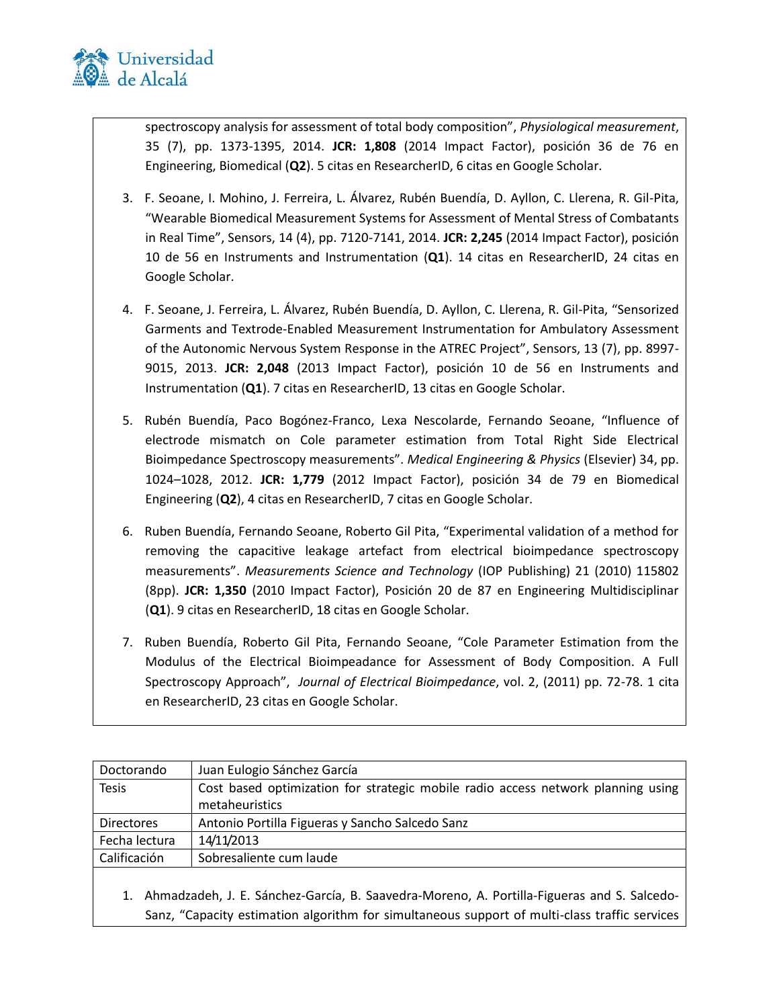

spectroscopy analysis for assessment of total body composition", *Physiological measurement*, 35 (7), pp. 1373-1395, 2014. **JCR: 1,808** (2014 Impact Factor), posición 36 de 76 en Engineering, Biomedical (**Q2**). 5 citas en ResearcherID, 6 citas en Google Scholar.

- 3. F. Seoane, I. Mohino, J. Ferreira, L. Álvarez, Rubén Buendía, D. Ayllon, C. Llerena, R. Gil-Pita, "Wearable Biomedical Measurement Systems for Assessment of Mental Stress of Combatants in Real Time", Sensors, 14 (4), pp. 7120-7141, 2014. **JCR: 2,245** (2014 Impact Factor), posición 10 de 56 en Instruments and Instrumentation (**Q1**). 14 citas en ResearcherID, 24 citas en Google Scholar.
- 4. F. Seoane, J. Ferreira, L. Álvarez, Rubén Buendía, D. Ayllon, C. Llerena, R. Gil-Pita, "Sensorized Garments and Textrode-Enabled Measurement Instrumentation for Ambulatory Assessment of the Autonomic Nervous System Response in the ATREC Project", Sensors, 13 (7), pp. 8997- 9015, 2013. **JCR: 2,048** (2013 Impact Factor), posición 10 de 56 en Instruments and Instrumentation (**Q1**). 7 citas en ResearcherID, 13 citas en Google Scholar.
- 5. Rubén Buendía, Paco Bogónez-Franco, Lexa Nescolarde, Fernando Seoane, "Influence of electrode mismatch on Cole parameter estimation from Total Right Side Electrical Bioimpedance Spectroscopy measurements". *Medical Engineering & Physics* (Elsevier) 34, pp. 1024–1028, 2012. **JCR: 1,779** (2012 Impact Factor), posición 34 de 79 en Biomedical Engineering (**Q2**), 4 citas en ResearcherID, 7 citas en Google Scholar.
- 6. Ruben Buendía, Fernando Seoane, Roberto Gil Pita, "Experimental validation of a method for removing the capacitive leakage artefact from electrical bioimpedance spectroscopy measurements". *Measurements Science and Technology* (IOP Publishing) 21 (2010) 115802 (8pp). **JCR: 1,350** (2010 Impact Factor), Posición 20 de 87 en Engineering Multidisciplinar (**Q1**). 9 citas en ResearcherID, 18 citas en Google Scholar.
- 7. Ruben Buendía, Roberto Gil Pita, Fernando Seoane, "Cole Parameter Estimation from the Modulus of the Electrical Bioimpeadance for Assessment of Body Composition. A Full Spectroscopy Approach", *Journal of Electrical Bioimpedance*, vol. 2, (2011) pp. 72-78. 1 cita en ResearcherID, 23 citas en Google Scholar.

| Doctorando        | Juan Eulogio Sánchez García                                                      |
|-------------------|----------------------------------------------------------------------------------|
| <b>Tesis</b>      | Cost based optimization for strategic mobile radio access network planning using |
|                   | metaheuristics                                                                   |
| <b>Directores</b> | Antonio Portilla Figueras y Sancho Salcedo Sanz                                  |
| Fecha lectura     | 14/11/2013                                                                       |
| Calificación      | Sobresaliente cum laude                                                          |
|                   |                                                                                  |

1. Ahmadzadeh, J. E. Sánchez-García, B. Saavedra-Moreno, A. Portilla-Figueras and S. Salcedo-Sanz, "Capacity estimation algorithm for simultaneous support of multi-class traffic services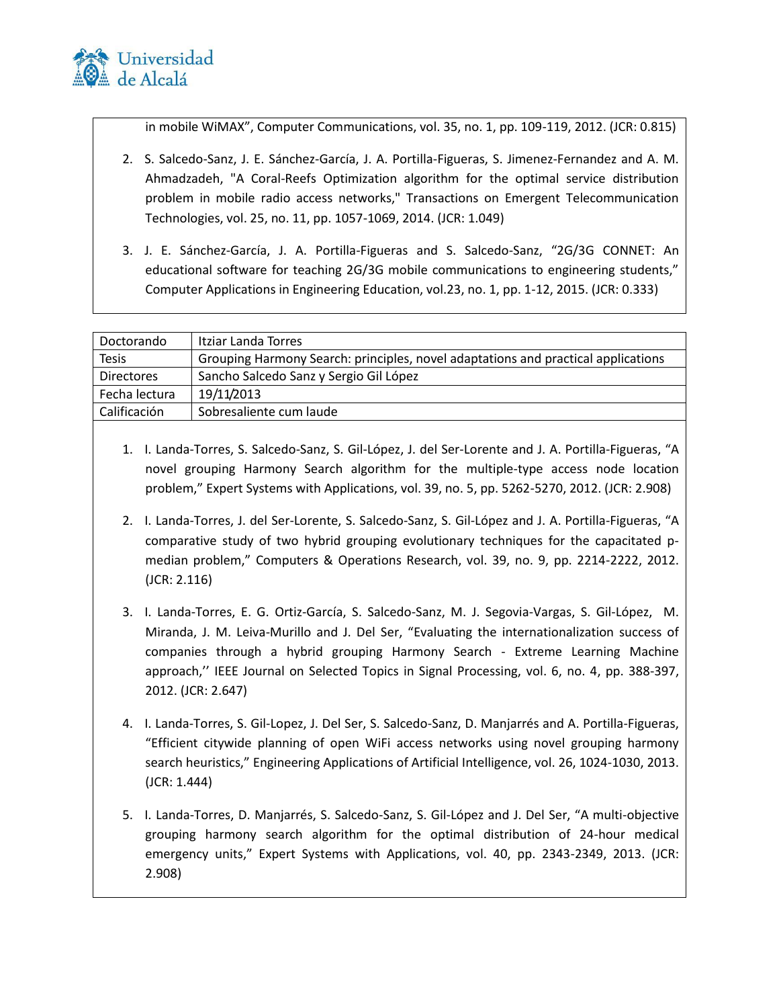

in mobile WiMAX", Computer Communications, vol. 35, no. 1, pp. 109-119, 2012. (JCR: 0.815)

- 2. S. Salcedo-Sanz, J. E. Sánchez-García, J. A. Portilla-Figueras, S. Jimenez-Fernandez and A. M. Ahmadzadeh, "A Coral-Reefs Optimization algorithm for the optimal service distribution problem in mobile radio access networks," Transactions on Emergent Telecommunication Technologies, vol. 25, no. 11, pp. 1057-1069, 2014. (JCR: 1.049)
- 3. J. E. Sánchez-García, J. A. Portilla-Figueras and S. Salcedo-Sanz, "2G/3G CONNET: An educational software for teaching 2G/3G mobile communications to engineering students," Computer Applications in Engineering Education, vol.23, no. 1, pp. 1-12, 2015. (JCR: 0.333)

| Doctorando        | Itziar Landa Torres                                                               |
|-------------------|-----------------------------------------------------------------------------------|
| <b>Tesis</b>      | Grouping Harmony Search: principles, novel adaptations and practical applications |
| <b>Directores</b> | Sancho Salcedo Sanz y Sergio Gil López                                            |
| Fecha lectura     | 19/11/2013                                                                        |
| Calificación      | Sobresaliente cum laude                                                           |
|                   |                                                                                   |

- 1. I. Landa-Torres, S. Salcedo-Sanz, S. Gil-López, J. del Ser-Lorente and J. A. Portilla-Figueras, "A novel grouping Harmony Search algorithm for the multiple-type access node location problem," Expert Systems with Applications, vol. 39, no. 5, pp. 5262-5270, 2012. (JCR: 2.908)
- 2. I. Landa-Torres, J. del Ser-Lorente, S. Salcedo-Sanz, S. Gil-López and J. A. Portilla-Figueras, "A comparative study of two hybrid grouping evolutionary techniques for the capacitated pmedian problem," Computers & Operations Research, vol. 39, no. 9, pp. 2214-2222, 2012. (JCR: 2.116)
- 3. I. Landa-Torres, E. G. Ortiz-García, S. Salcedo-Sanz, M. J. Segovia-Vargas, S. Gil-López, M. Miranda, J. M. Leiva-Murillo and J. Del Ser, "Evaluating the internationalization success of companies through a hybrid grouping Harmony Search - Extreme Learning Machine approach,'' IEEE Journal on Selected Topics in Signal Processing, vol. 6, no. 4, pp. 388-397, 2012. (JCR: 2.647)
- 4. I. Landa-Torres, S. Gil-Lopez, J. Del Ser, S. Salcedo-Sanz, D. Manjarrés and A. Portilla-Figueras, "Efficient citywide planning of open WiFi access networks using novel grouping harmony search heuristics," Engineering Applications of Artificial Intelligence, vol. 26, 1024-1030, 2013. (JCR: 1.444)
- 5. I. Landa-Torres, D. Manjarrés, S. Salcedo-Sanz, S. Gil-López and J. Del Ser, "A multi-objective grouping harmony search algorithm for the optimal distribution of 24-hour medical emergency units," Expert Systems with Applications, vol. 40, pp. 2343-2349, 2013. (JCR: 2.908)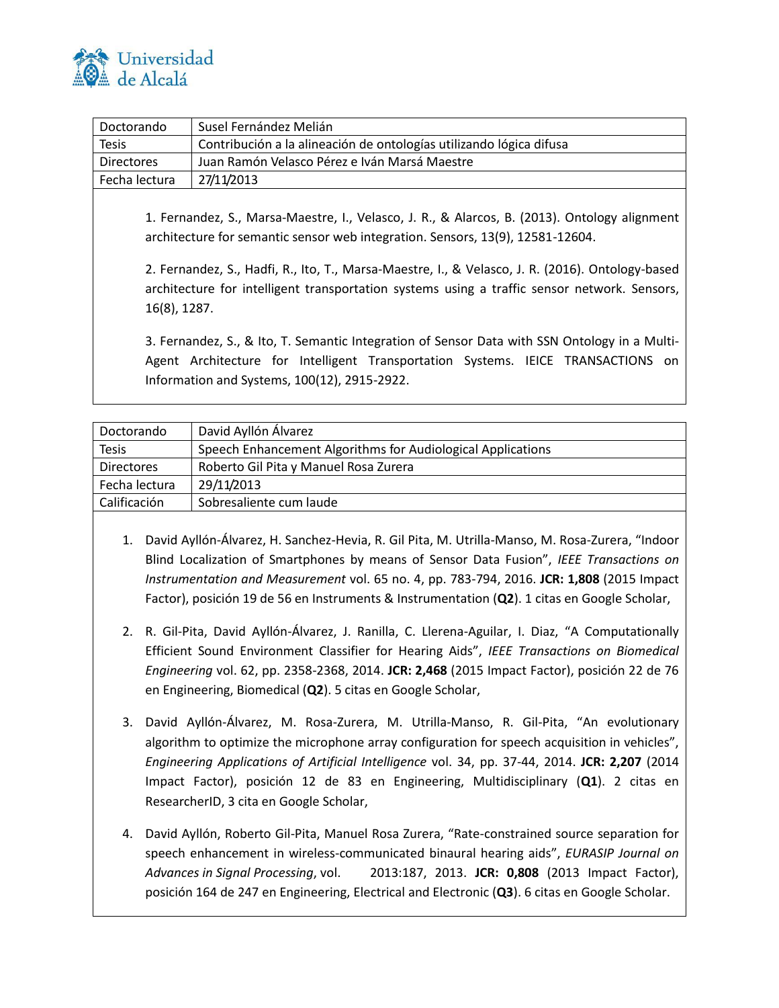

| Doctorando        | Susel Fernández Melián                                              |
|-------------------|---------------------------------------------------------------------|
| <b>Tesis</b>      | Contribución a la alineación de ontologías utilizando lógica difusa |
| <b>Directores</b> | Juan Ramón Velasco Pérez e Iván Marsá Maestre                       |
| Fecha lectura     | 27/11/2013                                                          |

1. Fernandez, S., Marsa-Maestre, I., Velasco, J. R., & Alarcos, B. (2013). Ontology alignment architecture for semantic sensor web integration. Sensors, 13(9), 12581-12604.

2. Fernandez, S., Hadfi, R., Ito, T., Marsa-Maestre, I., & Velasco, J. R. (2016). Ontology-based architecture for intelligent transportation systems using a traffic sensor network. Sensors, 16(8), 1287.

3. Fernandez, S., & Ito, T. Semantic Integration of Sensor Data with SSN Ontology in a Multi-Agent Architecture for Intelligent Transportation Systems. IEICE TRANSACTIONS on Information and Systems, 100(12), 2915-2922.

| David Ayllón Álvarez                                        |
|-------------------------------------------------------------|
| Speech Enhancement Algorithms for Audiological Applications |
| Roberto Gil Pita y Manuel Rosa Zurera                       |
| 29/11/2013                                                  |
| Sobresaliente cum laude                                     |
|                                                             |

- 1. David Ayllón-Álvarez, H. Sanchez-Hevia, R. Gil Pita, M. Utrilla-Manso, M. Rosa-Zurera, "Indoor Blind Localization of Smartphones by means of Sensor Data Fusion", *IEEE Transactions on Instrumentation and Measurement* vol. 65 no. 4, pp. 783-794, 2016. **JCR: 1,808** (2015 Impact Factor), posición 19 de 56 en Instruments & Instrumentation (**Q2**). 1 citas en Google Scholar,
- 2. R. Gil-Pita, David Ayllón-Álvarez, J. Ranilla, C. Llerena-Aguilar, I. Diaz, "A Computationally Efficient Sound Environment Classifier for Hearing Aids", *IEEE Transactions on Biomedical Engineering* vol. 62, pp. 2358-2368, 2014. **JCR: 2,468** (2015 Impact Factor), posición 22 de 76 en Engineering, Biomedical (**Q2**). 5 citas en Google Scholar,
- 3. David Ayllón-Álvarez, M. Rosa-Zurera, M. Utrilla-Manso, R. Gil-Pita, "An evolutionary algorithm to optimize the microphone array configuration for speech acquisition in vehicles", *Engineering Applications of Artificial Intelligence* vol. 34, pp. 37-44, 2014. **JCR: 2,207** (2014 Impact Factor), posición 12 de 83 en Engineering, Multidisciplinary (**Q1**). 2 citas en ResearcherID, 3 cita en Google Scholar,
- 4. David Ayllón, Roberto Gil-Pita, Manuel Rosa Zurera, "Rate-constrained source separation for speech enhancement in wireless-communicated binaural hearing aids", *EURASIP Journal on Advances in Signal Processing*, vol. 2013:187, 2013. **JCR: 0,808** (2013 Impact Factor), posición 164 de 247 en Engineering, Electrical and Electronic (**Q3**). 6 citas en Google Scholar.